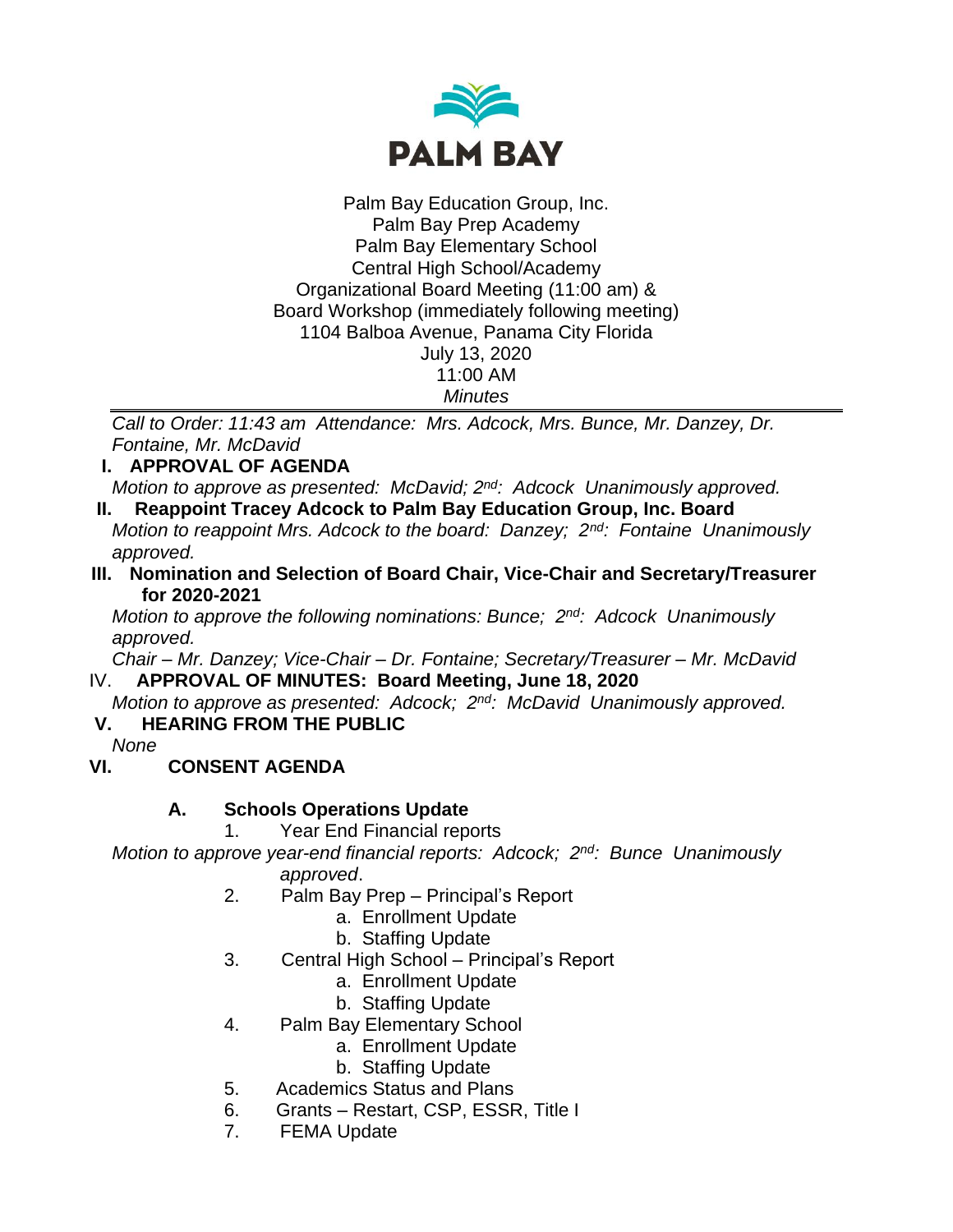

Palm Bay Education Group, Inc. Palm Bay Prep Academy Palm Bay Elementary School Central High School/Academy Organizational Board Meeting (11:00 am) & Board Workshop (immediately following meeting) 1104 Balboa Avenue, Panama City Florida July 13, 2020 11:00 AM *Minutes*

*Call to Order: 11:43 am Attendance: Mrs. Adcock, Mrs. Bunce, Mr. Danzey, Dr. Fontaine, Mr. McDavid*

**I. APPROVAL OF AGENDA**

*Motion to approve as presented: McDavid; 2nd: Adcock Unanimously approved.*

- **II. Reappoint Tracey Adcock to Palm Bay Education Group, Inc. Board** *Motion to reappoint Mrs. Adcock to the board: Danzey; 2nd: Fontaine Unanimously approved.*
- **III. Nomination and Selection of Board Chair, Vice-Chair and Secretary/Treasurer for 2020-2021**

*Motion to approve the following nominations: Bunce; 2nd: Adcock Unanimously approved.*

*Chair – Mr. Danzey; Vice-Chair – Dr. Fontaine; Secretary/Treasurer – Mr. McDavid* IV. **APPROVAL OF MINUTES: Board Meeting, June 18, 2020**

*Motion to approve as presented: Adcock; 2nd: McDavid Unanimously approved.*  **V. HEARING FROM THE PUBLIC**

*None*

# **VI. CONSENT AGENDA**

# **A. Schools Operations Update**

1. Year End Financial reports

*Motion to approve year-end financial reports: Adcock; 2nd: Bunce Unanimously approved*.

- 2. Palm Bay Prep Principal's Report
	- a. Enrollment Update
	- b. Staffing Update
- 3. Central High School Principal's Report
	- a. Enrollment Update
	- b. Staffing Update
- 4. Palm Bay Elementary School
	- a. Enrollment Update
	- b. Staffing Update
- 5. Academics Status and Plans
- 6. Grants Restart, CSP, ESSR, Title I
- 7. FEMA Update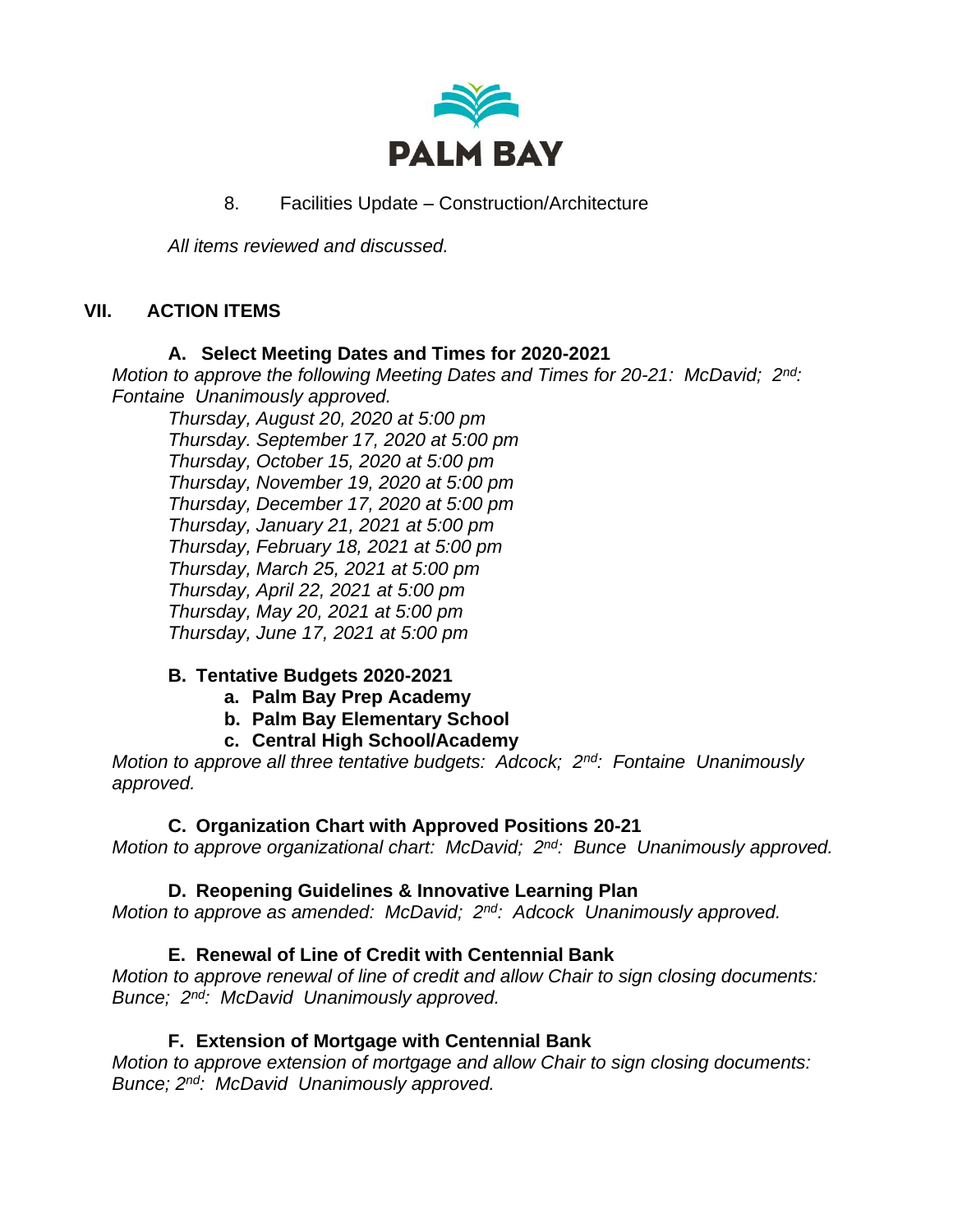

8. Facilities Update – Construction/Architecture

*All items reviewed and discussed.*

# **VII. ACTION ITEMS**

### **A. Select Meeting Dates and Times for 2020-2021**

*Motion to approve the following Meeting Dates and Times for 20-21: McDavid; 2nd: Fontaine Unanimously approved.*

*Thursday, August 20, 2020 at 5:00 pm Thursday. September 17, 2020 at 5:00 pm Thursday, October 15, 2020 at 5:00 pm Thursday, November 19, 2020 at 5:00 pm Thursday, December 17, 2020 at 5:00 pm Thursday, January 21, 2021 at 5:00 pm Thursday, February 18, 2021 at 5:00 pm Thursday, March 25, 2021 at 5:00 pm Thursday, April 22, 2021 at 5:00 pm Thursday, May 20, 2021 at 5:00 pm Thursday, June 17, 2021 at 5:00 pm*

# **B. Tentative Budgets 2020-2021**

- **a. Palm Bay Prep Academy**
- **b. Palm Bay Elementary School**
- **c. Central High School/Academy**

*Motion to approve all three tentative budgets: Adcock; 2nd: Fontaine Unanimously approved.*

# **C. Organization Chart with Approved Positions 20-21**

Motion to approve organizational chart: McDavid;  $2^{nd}$ : Bunce Unanimously approved.

# **D. Reopening Guidelines & Innovative Learning Plan**

*Motion to approve as amended: McDavid; 2nd: Adcock Unanimously approved.*

# **E. Renewal of Line of Credit with Centennial Bank**

*Motion to approve renewal of line of credit and allow Chair to sign closing documents: Bunce; 2nd: McDavid Unanimously approved.*

# **F. Extension of Mortgage with Centennial Bank**

*Motion to approve extension of mortgage and allow Chair to sign closing documents: Bunce; 2nd: McDavid Unanimously approved.*